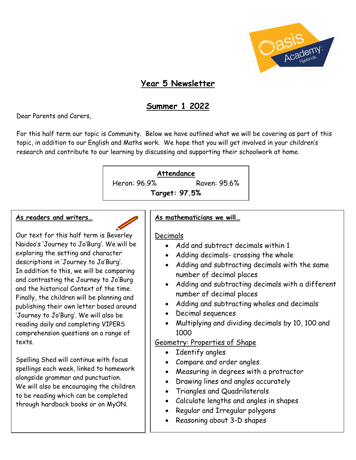

# **Year 5 Newsletter**

# **Summer 1 2022**

Dear Parents and Carers,

For this half term our topic is Community. Below we have outlined what we will be covering as part of this topic, in addition to our English and Maths work. We hope that you will get involved in your children's research and contribute to our learning by discussing and supporting their schoolwork at home.

#### **Attendance**

Heron: 96.9% Raven: 95.6%

**Target: 97.5%**

#### **As readers and writers…**

Our text for this half term is Beverley Naidoo's 'Journey to Jo'Burg'. We will be exploring the setting and character descriptions in 'Journey to Jo'Burg'. In addition to this, we will be comparing and contrasting the Journey to Jo'Burg and the historical Context of the time. Finally, the children will be planning and publishing their own letter based around 'Journey to Jo'Burg'. We will also be reading daily and completing VIPERS comprehension questions on a range of texts.

Spelling Shed will continue with focus spellings each week, linked to homework alongside grammar and punctuation. We will also be encouraging the children to be reading which can be completed through hardback books or on MyON.

### **As mathematicians we will…**

### Decimals

- Add and subtract decimals within 1
- Adding decimals- crossing the whole
- Adding and subtracting decimals with the same number of decimal places
- Adding and subtracting decimals with a different number of decimal places
- Adding and subtracting wholes and decimals
- Decimal sequences
- Multiplying and dividing decimals by 10, 100 and 1000

### Geometry: Properties of Shape

- Identify angles
- Compare and order angles
- Measuring in degrees with a protractor
- Drawing lines and angles accurately
- Triangles and Quadrilaterals
- Calculate lengths and angles in shapes
- Regular and Irregular polygons
- Reasoning about 3-D shapes